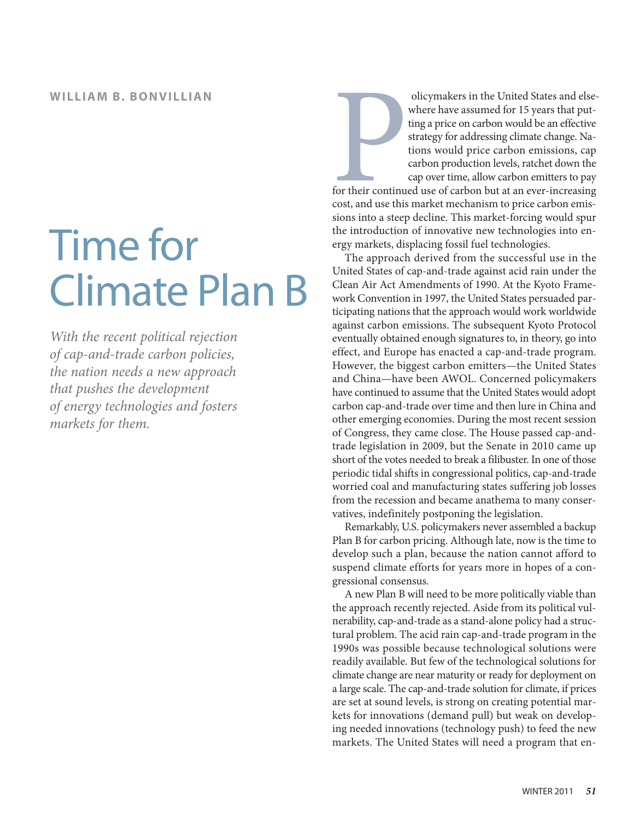# Time for Climate Plan B

*With the recent political rejection of cap-and-trade carbon policies, the nation needs a new approach that pushes the development of energy technologies and fosters markets for them.*

For their continues olicymakers in the United States and elsewhere have assumed for 15 years that putting a price on carbon would be an effective strategy for addressing climate change. Nations would price carbon emissions, cap carbon production levels, ratchet down the cap over time, allow carbon emitters to pay for their continued use of carbon but at an ever-increasing cost, and use this market mechanism to price carbon emissions into a steep decline. This market-forcing would spur the introduction of innovative new technologies into energy markets, displacing fossil fuel technologies.

The approach derived from the successful use in the United States of cap-and-trade against acid rain under the Clean Air Act Amendments of 1990. At the Kyoto Framework Convention in 1997, the United States persuaded participating nations that the approach would work worldwide against carbon emissions. The subsequent Kyoto Protocol eventually obtained enough signatures to, in theory, go into effect, and Europe has enacted a cap-and-trade program. However, the biggest carbon emitters—the United States and China—have been AWOL. Concerned policymakers have continued to assume that the United States would adopt carbon cap-and-trade over time and then lure in China and other emerging economies. During the most recent session of Congress, they came close. The House passed cap-andtrade legislation in 2009, but the Senate in 2010 came up short of the votes needed to break a filibuster. In one of those periodic tidal shifts in congressional politics, cap-and-trade worried coal and manufacturing states suffering job losses from the recession and became anathema to many conservatives, indefinitely postponing the legislation.

Remarkably, U.S. policymakers never assembled a backup Plan B for carbon pricing. Although late, now is the time to develop such a plan, because the nation cannot afford to suspend climate efforts for years more in hopes of a congressional consensus.

A new Plan B will need to be more politically viable than the approach recently rejected. Aside from its political vulnerability, cap-and-trade as a stand-alone policy had a structural problem. The acid rain cap-and-trade program in the 1990s was possible because technological solutions were readily available. But few of the technological solutions for climate change are near maturity or ready for deployment on a large scale. The cap-and-trade solution for climate, if prices are set at sound levels, is strong on creating potential markets for innovations (demand pull) but weak on developing needed innovations (technology push) to feed the new markets. The United States will need a program that en-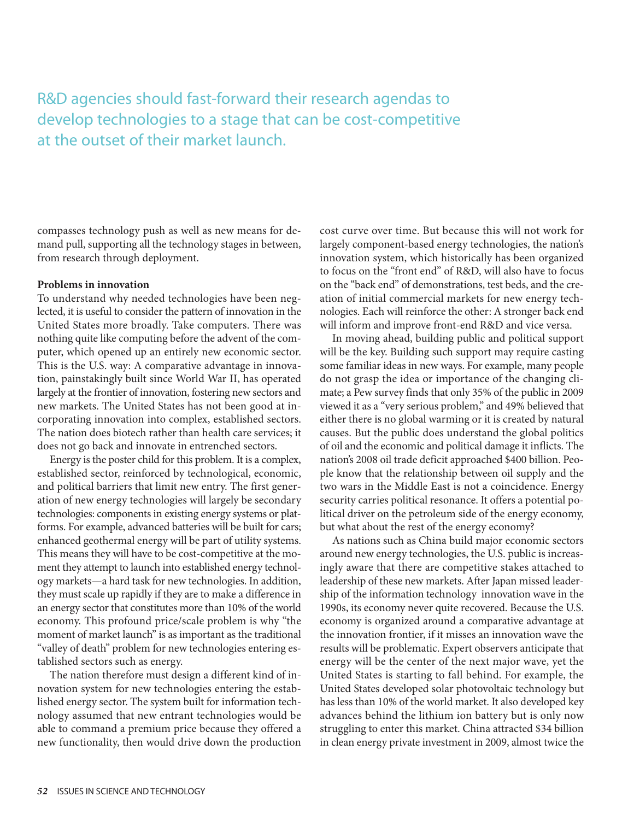R&D agencies should fast-forward their research agendas to develop technologies to a stage that can be cost-competitive at the outset of their market launch.

compasses technology push as well as new means for demand pull, supporting all the technology stages in between, from research through deployment.

#### **Problems in innovation**

To understand why needed technologies have been neglected, it is useful to consider the pattern of innovation in the United States more broadly. Take computers. There was nothing quite like computing before the advent of the computer, which opened up an entirely new economic sector. This is the U.S. way: A comparative advantage in innovation, painstakingly built since World War II, has operated largely at the frontier of innovation, fostering new sectors and new markets. The United States has not been good at incorporating innovation into complex, established sectors. The nation does biotech rather than health care services; it does not go back and innovate in entrenched sectors.

Energy is the poster child for this problem. It is a complex, established sector, reinforced by technological, economic, and political barriers that limit new entry. The first generation of new energy technologies will largely be secondary technologies: components in existing energy systems or platforms. For example, advanced batteries will be built for cars; enhanced geothermal energy will be part of utility systems. This means they will have to be cost-competitive at the moment they attempt to launch into established energy technology markets—a hard task for new technologies. In addition, they must scale up rapidly if they are to make a difference in an energy sector that constitutes more than 10% of the world economy. This profound price/scale problem is why "the moment of market launch" is as important as the traditional "valley of death" problem for new technologies entering established sectors such as energy.

The nation therefore must design a different kind of innovation system for new technologies entering the established energy sector. The system built for information technology assumed that new entrant technologies would be able to command a premium price because they offered a new functionality, then would drive down the production

cost curve over time. But because this will not work for largely component-based energy technologies, the nation's innovation system, which historically has been organized to focus on the "front end" of R&D, will also have to focus on the "back end" of demonstrations, test beds, and the creation of initial commercial markets for new energy technologies. Each will reinforce the other: A stronger back end will inform and improve front-end R&D and vice versa.

In moving ahead, building public and political support will be the key. Building such support may require casting some familiar ideas in new ways. For example, many people do not grasp the idea or importance of the changing climate; a Pew survey finds that only 35% of the public in 2009 viewed it as a "very serious problem," and 49% believed that either there is no global warming or it is created by natural causes. But the public does understand the global politics of oil and the economic and political damage it inflicts. The nation's 2008 oil trade deficit approached \$400 billion. People know that the relationship between oil supply and the two wars in the Middle East is not a coincidence. Energy security carries political resonance. It offers a potential political driver on the petroleum side of the energy economy, but what about the rest of the energy economy?

As nations such as China build major economic sectors around new energy technologies, the U.S. public is increasingly aware that there are competitive stakes attached to leadership of these new markets. After Japan missed leadership of the information technology innovation wave in the 1990s, its economy never quite recovered. Because the U.S. economy is organized around a comparative advantage at the innovation frontier, if it misses an innovation wave the results will be problematic. Expert observers anticipate that energy will be the center of the next major wave, yet the United States is starting to fall behind. For example, the United States developed solar photovoltaic technology but has less than 10% of the world market. It also developed key advances behind the lithium ion battery but is only now struggling to enter this market. China attracted \$34 billion in clean energy private investment in 2009, almost twice the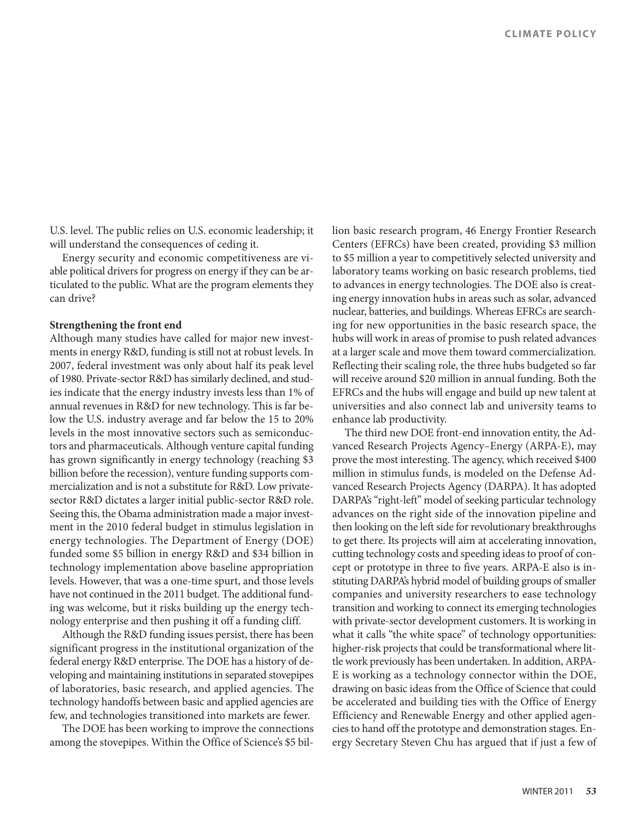U.S. level. The public relies on U.S. economic leadership; it will understand the consequences of ceding it.

Energy security and economic competitiveness are viable political drivers for progress on energy if they can be articulated to the public. What are the program elements they can drive?

#### **Strengthening the front end**

Although many studies have called for major new investments in energy R&D, funding is still not at robust levels. In 2007, federal investment was only about half its peak level of 1980. Private-sector R&D has similarly declined, and studies indicate that the energy industry invests less than 1% of annual revenues in R&D for new technology. This is far below the U.S. industry average and far below the 15 to 20% levels in the most innovative sectors such as semiconductors and pharmaceuticals. Although venture capital funding has grown significantly in energy technology (reaching \$3 billion before the recession), venture funding supports commercialization and is not a substitute for R&D. Low privatesector R&D dictates a larger initial public-sector R&D role. Seeing this, the Obama administration made a major investment in the 2010 federal budget in stimulus legislation in energy technologies. The Department of Energy (DOE) funded some \$5 billion in energy R&D and \$34 billion in technology implementation above baseline appropriation levels. However, that was a one-time spurt, and those levels have not continued in the 2011 budget. The additional funding was welcome, but it risks building up the energy technology enterprise and then pushing it off a funding cliff.

Although the R&D funding issues persist, there has been significant progress in the institutional organization of the federal energy R&D enterprise. The DOE has a history of developing and maintaining institutions in separated stovepipes of laboratories, basic research, and applied agencies. The technology handoffs between basic and applied agencies are few, and technologies transitioned into markets are fewer.

The DOE has been working to improve the connections among the stovepipes. Within the Office of Science's \$5 billion basic research program, 46 Energy Frontier Research Centers (EFRCs) have been created, providing \$3 million to \$5 million a year to competitively selected university and laboratory teams working on basic research problems, tied to advances in energy technologies. The DOE also is creating energy innovation hubs in areas such as solar, advanced nuclear, batteries, and buildings. Whereas EFRCs are searching for new opportunities in the basic research space, the hubs will work in areas of promise to push related advances at a larger scale and move them toward commercialization. Reflecting their scaling role, the three hubs budgeted so far will receive around \$20 million in annual funding. Both the EFRCs and the hubs will engage and build up new talent at universities and also connect lab and university teams to enhance lab productivity.

The third new DOE front-end innovation entity, the Advanced Research Projects Agency–Energy (ARPA-E), may prove the most interesting. The agency, which received \$400 million in stimulus funds, is modeled on the Defense Advanced Research Projects Agency (DARPA). It has adopted DARPA's "right-left" model of seeking particular technology advances on the right side of the innovation pipeline and then looking on the left side for revolutionary breakthroughs to get there. Its projects will aim at accelerating innovation, cutting technology costs and speeding ideas to proof of concept or prototype in three to five years. ARPA-E also is instituting DARPA's hybrid model of building groups of smaller companies and university researchers to ease technology transition and working to connect its emerging technologies with private-sector development customers. It is working in what it calls "the white space" of technology opportunities: higher-risk projects that could be transformational where little work previously has been undertaken. In addition, ARPA-E is working as a technology connector within the DOE, drawing on basic ideas from the Office of Science that could be accelerated and building ties with the Office of Energy Efficiency and Renewable Energy and other applied agencies to hand off the prototype and demonstration stages. Energy Secretary Steven Chu has argued that if just a few of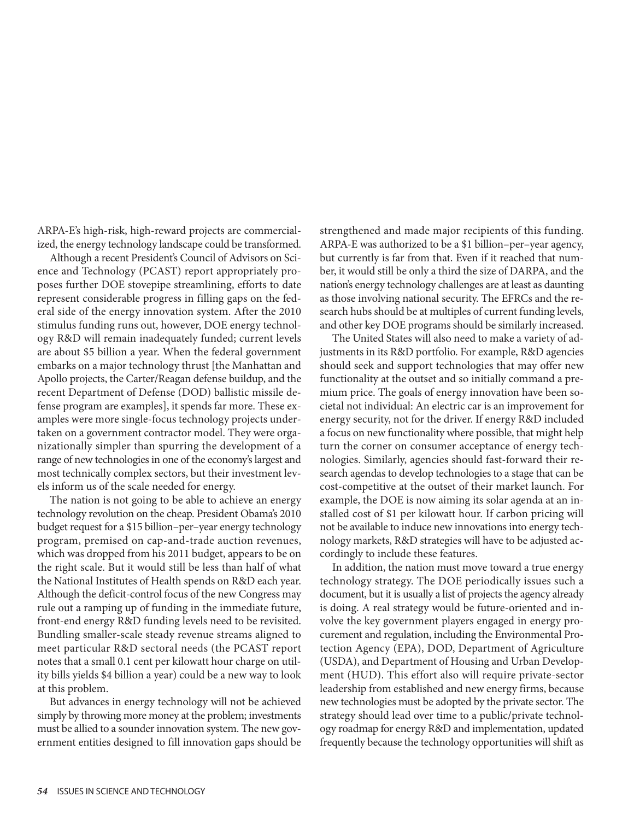ARPA-E's high-risk, high-reward projects are commercialized, the energy technology landscape could be transformed.

Although a recent President's Council of Advisors on Science and Technology (PCAST) report appropriately proposes further DOE stovepipe streamlining, efforts to date represent considerable progress in filling gaps on the federal side of the energy innovation system. After the 2010 stimulus funding runs out, however, DOE energy technology R&D will remain inadequately funded; current levels are about \$5 billion a year. When the federal government embarks on a major technology thrust [the Manhattan and Apollo projects, the Carter/Reagan defense buildup, and the recent Department of Defense (DOD) ballistic missile defense program are examples], it spends far more. These examples were more single-focus technology projects undertaken on a government contractor model. They were organizationally simpler than spurring the development of a range of new technologies in one of the economy's largest and most technically complex sectors, but their investment levels inform us of the scale needed for energy.

The nation is not going to be able to achieve an energy technology revolution on the cheap. President Obama's 2010 budget request for a \$15 billion–per– year energy technology program, premised on cap-and-trade auction revenues, which was dropped from his 2011 budget, appears to be on the right scale. But it would still be less than half of what the National Institutes of Health spends on R&D each year. Although the deficit-control focus of the new Congress may rule out a ramping up of funding in the immediate future, front-end energy R&D funding levels need to be revisited. Bundling smaller-scale steady revenue streams aligned to meet particular R&D sectoral needs (the PCAST report notes that a small 0.1 cent per kilowatt hour charge on utility bills yields \$4 billion a year) could be a new way to look at this problem.

But advances in energy technology will not be achieved simply by throwing more money at the problem; investments must be allied to a sounder innovation system. The new government entities designed to fill innovation gaps should be strengthened and made major recipients of this funding. ARPA-E was authorized to be a \$1 billion–per–year agency, but currently is far from that. Even if it reached that number, it would still be only a third the size of DARPA, and the nation's energy technology challenges are at least as daunting as those involving national security. The EFRCs and the research hubs should be at multiples of current funding levels, and other key DOE programs should be similarly increased.

The United States will also need to make a variety of adjustments in its R&D portfolio. For example, R&D agencies should seek and support technologies that may offer new functionality at the outset and so initially command a premium price. The goals of energy innovation have been societal not individual: An electric car is an improvement for energy security, not for the driver. If energy R&D included a focus on new functionality where possible, that might help turn the corner on consumer acceptance of energy technologies. Similarly, agencies should fast-forward their research agendas to develop technologies to a stage that can be cost-competitive at the outset of their market launch. For example, the DOE is now aiming its solar agenda at an installed cost of \$1 per kilowatt hour. If carbon pricing will not be available to induce new innovations into energy technology markets, R&D strategies will have to be adjusted accordingly to include these features.

In addition, the nation must move toward a true energy technology strategy. The DOE periodically issues such a document, but it is usually a list of projects the agency already is doing. A real strategy would be future-oriented and involve the key government players engaged in energy procurement and regulation, including the Environmental Protection Agency (EPA), DOD, Department of Agriculture (USDA), and Department of Housing and Urban Development (HUD). This effort also will require private-sector leadership from established and new energy firms, because new technologies must be adopted by the private sector. The strategy should lead over time to a public/private technology roadmap for energy R&D and implementation, updated frequently because the technology opportunities will shift as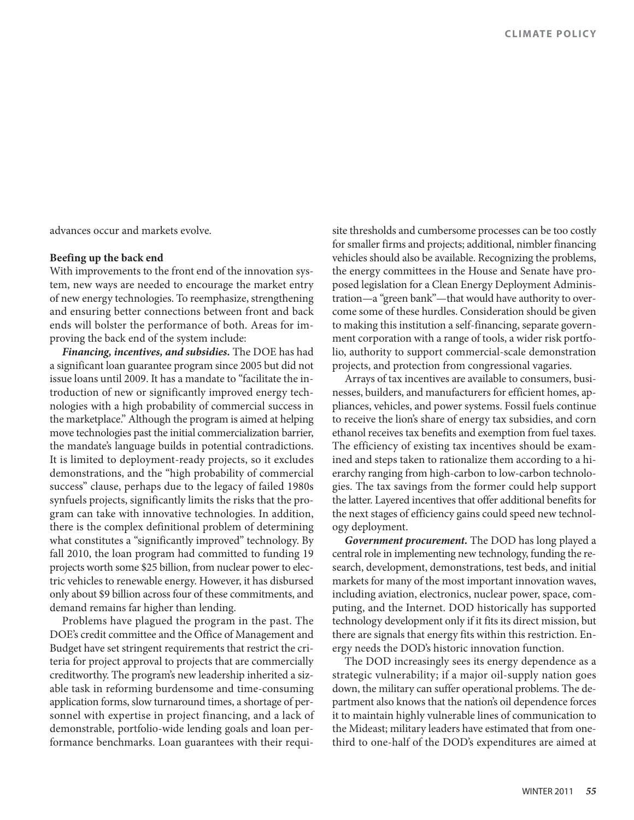advances occur and markets evolve.

#### **Beefing up the back end**

With improvements to the front end of the innovation system, new ways are needed to encourage the market entry of new energy technologies. To reemphasize, strengthening and ensuring better connections between front and back ends will bolster the performance of both. Areas for improving the back end of the system include:

*Financing, incentives, and subsidies.* The DOE has had a significant loan guarantee program since 2005 but did not issue loans until 2009. It has a mandate to "facilitate the introduction of new or significantly improved energy technologies with a high probability of commercial success in the marketplace." Although the program is aimed at helping move technologies past the initial commercialization barrier, the mandate's language builds in potential contradictions. It is limited to deployment-ready projects, so it excludes demonstrations, and the "high probability of commercial success" clause, perhaps due to the legacy of failed 1980s synfuels projects, significantly limits the risks that the program can take with innovative technologies. In addition, there is the complex definitional problem of determining what constitutes a "significantly improved" technology. By fall 2010, the loan program had committed to funding 19 projects worth some \$25 billion, from nuclear power to electric vehicles to renewable energy. However, it has disbursed only about \$9 billion across four of these commitments, and demand remains far higher than lending.

Problems have plagued the program in the past. The DOE's credit committee and the Office of Management and Budget have set stringent requirements that restrict the criteria for project approval to projects that are commercially creditworthy. The program's new leadership inherited a sizable task in reforming burdensome and time-consuming application forms, slow turnaround times, a shortage of personnel with expertise in project financing, and a lack of demonstrable, portfolio-wide lending goals and loan performance benchmarks. Loan guarantees with their requi-

site thresholds and cumbersome processes can be too costly for smaller firms and projects; additional, nimbler financing vehicles should also be available. Recognizing the problems, the energy committees in the House and Senate have proposed legislation for a Clean Energy Deployment Administration—a "green bank"—that would have authority to overcome some of these hurdles. Consideration should be given to making this institution a self-financing, separate government corporation with a range of tools, a wider risk portfolio, authority to support commercial-scale demonstration projects, and protection from congressional vagaries.

Arrays of tax incentives are available to consumers, businesses, builders, and manufacturers for efficient homes, appliances, vehicles, and power systems. Fossil fuels continue to receive the lion's share of energy tax subsidies, and corn ethanol receives tax benefits and exemption from fuel taxes. The efficiency of existing tax incentives should be examined and steps taken to rationalize them according to a hierarchy ranging from high-carbon to low-carbon technologies. The tax savings from the former could help support the latter. Layered incentives that offer additional benefits for the next stages of efficiency gains could speed new technology deployment.

*Government procurement.* The DOD has long played a central role in implementing new technology, funding the research, development, demonstrations, test beds, and initial markets for many of the most important innovation waves, including aviation, electronics, nuclear power, space, computing, and the Internet. DOD historically has supported technology development only if it fits its direct mission, but there are signals that energy fits within this restriction. Energy needs the DOD's historic innovation function.

The DOD increasingly sees its energy dependence as a strategic vulnerability; if a major oil-supply nation goes down, the military can suffer operational problems. The department also knows that the nation's oil dependence forces it to maintain highly vulnerable lines of communication to the Mideast; military leaders have estimated that from onethird to one-half of the DOD's expenditures are aimed at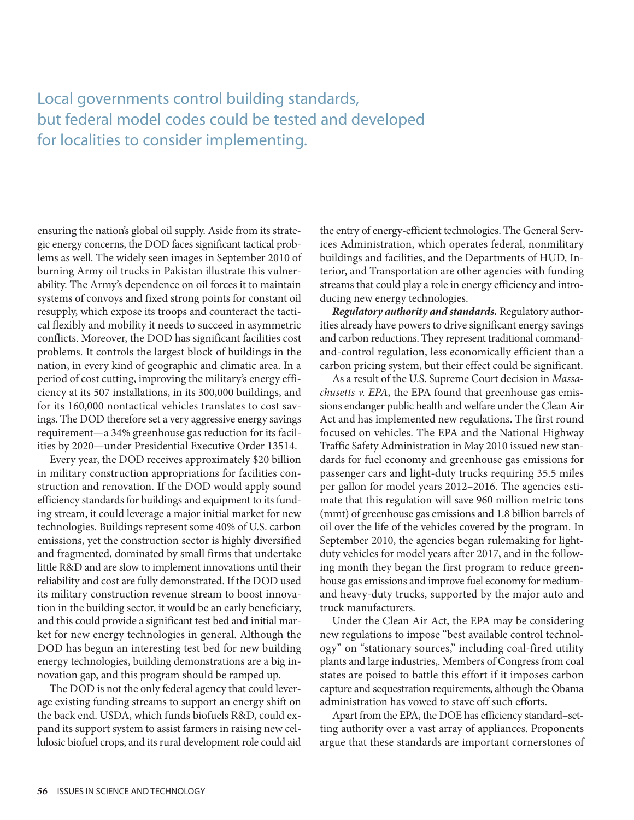## Local governments control building standards, but federal model codes could be tested and developed for localities to consider implementing.

ensuring the nation's global oil supply. Aside from its strategic energy concerns, the DOD faces significant tactical problems as well. The widely seen images in September 2010 of burning Army oil trucks in Pakistan illustrate this vulnerability. The Army's dependence on oil forces it to maintain systems of convoys and fixed strong points for constant oil resupply, which expose its troops and counteract the tactical flexibly and mobility it needs to succeed in asymmetric conflicts. Moreover, the DOD has significant facilities cost problems. It controls the largest block of buildings in the nation, in every kind of geographic and climatic area. In a period of cost cutting, improving the military's energy efficiency at its 507 installations, in its 300,000 buildings, and for its 160,000 nontactical vehicles translates to cost savings. The DOD therefore set a very aggressive energy savings requirement—a 34% greenhouse gas reduction for its facilities by 2020—under Presidential Executive Order 13514.

Every year, the DOD receives approximately \$20 billion in military construction appropriations for facilities construction and renovation. If the DOD would apply sound efficiency standards for buildings and equipment to its funding stream, it could leverage a major initial market for new technologies. Buildings represent some 40% of U.S. carbon emissions, yet the construction sector is highly diversified and fragmented, dominated by small firms that undertake little R&D and are slow to implement innovations until their reliability and cost are fully demonstrated. If the DOD used its military construction revenue stream to boost innovation in the building sector, it would be an early beneficiary, and this could provide a significant test bed and initial market for new energy technologies in general. Although the DOD has begun an interesting test bed for new building energy technologies, building demonstrations are a big innovation gap, and this program should be ramped up.

The DOD is not the only federal agency that could leverage existing funding streams to support an energy shift on the back end. USDA, which funds biofuels R&D, could expand its support system to assist farmers in raising new cellulosic biofuel crops, and its rural development role could aid

the entry of energy-efficient technologies. The General Services Administration, which operates federal, nonmilitary buildings and facilities, and the Departments of HUD, Interior, and Transportation are other agencies with funding streams that could play a role in energy efficiency and introducing new energy technologies.

*Regulatory authority and standards.* Regulatory authorities already have powers to drive significant energy savings and carbon reductions. They represent traditional commandand-control regulation, less economically efficient than a carbon pricing system, but their effect could be significant.

As a result of the U.S. Supreme Court decision in *Massachusetts v. EPA*, the EPA found that greenhouse gas emissions endanger public health and welfare under the Clean Air Act and has implemented new regulations. The first round focused on vehicles. The EPA and the National Highway Traffic Safety Administration in May 2010 issued new standards for fuel economy and greenhouse gas emissions for passenger cars and light-duty trucks requiring 35.5 miles per gallon for model years 2012–2016. The agencies estimate that this regulation will save 960 million metric tons (mmt) of greenhouse gas emissions and 1.8 billion barrels of oil over the life of the vehicles covered by the program. In September 2010, the agencies began rulemaking for lightduty vehicles for model years after 2017, and in the following month they began the first program to reduce greenhouse gas emissions and improve fuel economy for mediumand heavy-duty trucks, supported by the major auto and truck manufacturers.

Under the Clean Air Act, the EPA may be considering new regulations to impose "best available control technology" on "stationary sources," including coal-fired utility plants and large industries,. Members of Congress from coal states are poised to battle this effort if it imposes carbon capture and sequestration requirements, although the Obama administration has vowed to stave off such efforts.

Apart from the EPA, the DOE has efficiency standard–setting authority over a vast array of appliances. Proponents argue that these standards are important cornerstones of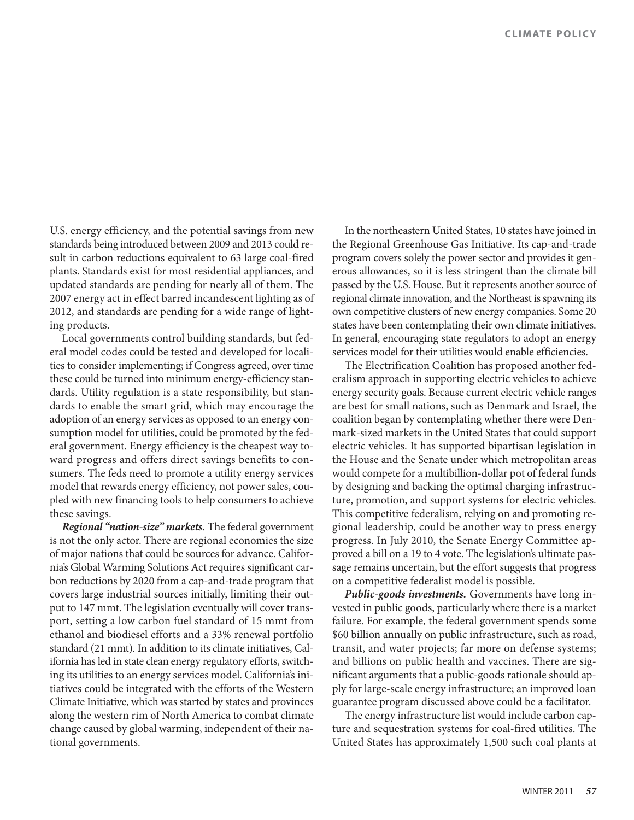U.S. energy efficiency, and the potential savings from new standards being introduced between 2009 and 2013 could result in carbon reductions equivalent to 63 large coal-fired plants. Standards exist for most residential appliances, and updated standards are pending for nearly all of them. The 2007 energy act in effect barred incandescent lighting as of 2012, and standards are pending for a wide range of lighting products.

Local governments control building standards, but federal model codes could be tested and developed for localities to consider implementing; if Congress agreed, over time these could be turned into minimum energy-efficiency standards. Utility regulation is a state responsibility, but standards to enable the smart grid, which may encourage the adoption of an energy services as opposed to an energy consumption model for utilities, could be promoted by the federal government. Energy efficiency is the cheapest way toward progress and offers direct savings benefits to consumers. The feds need to promote a utility energy services model that rewards energy efficiency, not power sales, coupled with new financing tools to help consumers to achieve these savings.

*Regional "nation-size" markets.* The federal government is not the only actor. There are regional economies the size of major nations that could be sources for advance. California's Global Warming Solutions Act requires significant carbon reductions by 2020 from a cap-and-trade program that covers large industrial sources initially, limiting their output to 147 mmt. The legislation eventually will cover transport, setting a low carbon fuel standard of 15 mmt from ethanol and biodiesel efforts and a 33% renewal portfolio standard (21 mmt). In addition to its climate initiatives, California has led in state clean energy regulatory efforts, switching its utilities to an energy services model. California's initiatives could be integrated with the efforts of the Western Climate Initiative, which was started by states and provinces along the western rim of North America to combat climate change caused by global warming, independent of their national governments.

In the northeastern United States, 10 states have joined in the Regional Greenhouse Gas Initiative. Its cap-and-trade program covers solely the power sector and provides it generous allowances, so it is less stringent than the climate bill passed by the U.S. House. But it represents another source of regional climate innovation, and the Northeast is spawning its own competitive clusters of new energy companies. Some 20 states have been contemplating their own climate initiatives. In general, encouraging state regulators to adopt an energy services model for their utilities would enable efficiencies.

The Electrification Coalition has proposed another federalism approach in supporting electric vehicles to achieve energy security goals. Because current electric vehicle ranges are best for small nations, such as Denmark and Israel, the coalition began by contemplating whether there were Denmark-sized markets in the United States that could support electric vehicles. It has supported bipartisan legislation in the House and the Senate under which metropolitan areas would compete for a multibillion-dollar pot of federal funds by designing and backing the optimal charging infrastructure, promotion, and support systems for electric vehicles. This competitive federalism, relying on and promoting regional leadership, could be another way to press energy progress. In July 2010, the Senate Energy Committee approved a bill on a 19 to 4 vote. The legislation's ultimate passage remains uncertain, but the effort suggests that progress on a competitive federalist model is possible.

*Public-goods investments.* Governments have long invested in public goods, particularly where there is a market failure. For example, the federal government spends some \$60 billion annually on public infrastructure, such as road, transit, and water projects; far more on defense systems; and billions on public health and vaccines. There are significant arguments that a public-goods rationale should apply for large-scale energy infrastructure; an improved loan guarantee program discussed above could be a facilitator.

The energy infrastructure list would include carbon capture and sequestration systems for coal-fired utilities. The United States has approximately 1,500 such coal plants at